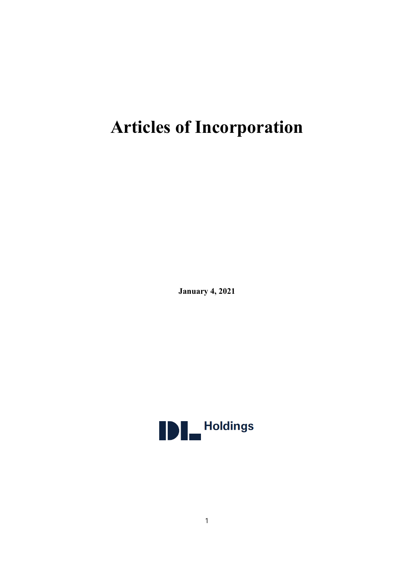# **Articles of Incorporation**

**January 4, 2021**

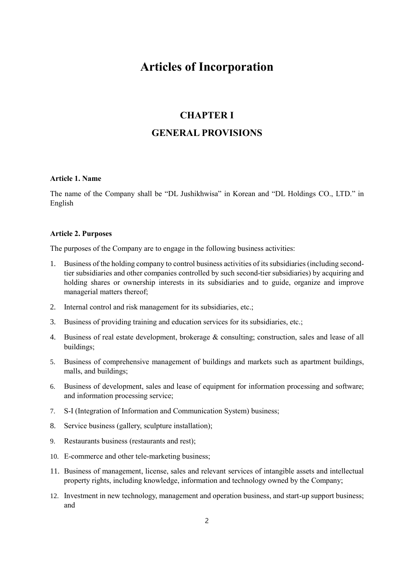# **Articles of Incorporation**

## **CHAPTER I**

## **GENERAL PROVISIONS**

#### **Article 1. Name**

The name of the Company shall be "DL Jushikhwisa" in Korean and "DL Holdings CO., LTD." in English

#### **Article 2. Purposes**

The purposes of the Company are to engage in the following business activities:

- 1. Business of the holding company to control business activities of its subsidiaries (including secondtier subsidiaries and other companies controlled by such second-tier subsidiaries) by acquiring and holding shares or ownership interests in its subsidiaries and to guide, organize and improve managerial matters thereof;
- 2. Internal control and risk management for its subsidiaries, etc.;
- 3. Business of providing training and education services for its subsidiaries, etc.;
- 4. Business of real estate development, brokerage & consulting; construction, sales and lease of all buildings;
- 5. Business of comprehensive management of buildings and markets such as apartment buildings, malls, and buildings;
- 6. Business of development, sales and lease of equipment for information processing and software; and information processing service;
- 7. S-I (Integration of Information and Communication System) business;
- 8. Service business (gallery, sculpture installation);
- 9. Restaurants business (restaurants and rest);
- 10. E-commerce and other tele-marketing business;
- 11. Business of management, license, sales and relevant services of intangible assets and intellectual property rights, including knowledge, information and technology owned by the Company;
- 12. Investment in new technology, management and operation business, and start-up support business; and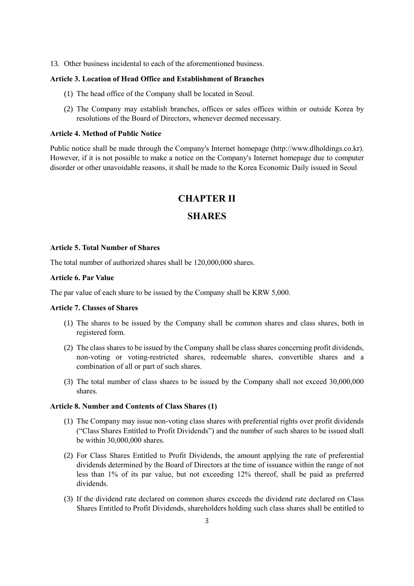13. Other business incidental to each of the aforementioned business.

#### **Article 3. Location of Head Office and Establishment of Branches**

- (1) The head office of the Company shall be located in Seoul.
- (2) The Company may establish branches, offices or sales offices within or outside Korea by resolutions of the Board of Directors, whenever deemed necessary.

#### **Article 4. Method of Public Notice**

Public notice shall be made through the Company's Internet homepage (http://www.dlholdings.co.kr). However, if it is not possible to make a notice on the Company's Internet homepage due to computer disorder or other unavoidable reasons, it shall be made to the Korea Economic Daily issued in Seoul

## **CHAPTER II**

#### **SHARES**

#### **Article 5. Total Number of Shares**

The total number of authorized shares shall be 120,000,000 shares.

#### **Article 6. Par Value**

The par value of each share to be issued by the Company shall be KRW 5,000.

#### **Article 7. Classes of Shares**

- (1) The shares to be issued by the Company shall be common shares and class shares, both in registered form.
- (2) The class shares to be issued by the Company shall be class shares concerning profit dividends, non-voting or voting-restricted shares, redeemable shares, convertible shares and a combination of all or part of such shares.
- (3) The total number of class shares to be issued by the Company shall not exceed 30,000,000 shares.

#### **Article 8. Number and Contents of Class Shares (1)**

- (1) The Company may issue non-voting class shares with preferential rights over profit dividends ("Class Shares Entitled to Profit Dividends") and the number of such shares to be issued shall be within 30,000,000 shares.
- (2) For Class Shares Entitled to Profit Dividends, the amount applying the rate of preferential dividends determined by the Board of Directors at the time of issuance within the range of not less than 1% of its par value, but not exceeding 12% thereof, shall be paid as preferred dividends.
- (3) If the dividend rate declared on common shares exceeds the dividend rate declared on Class Shares Entitled to Profit Dividends, shareholders holding such class shares shall be entitled to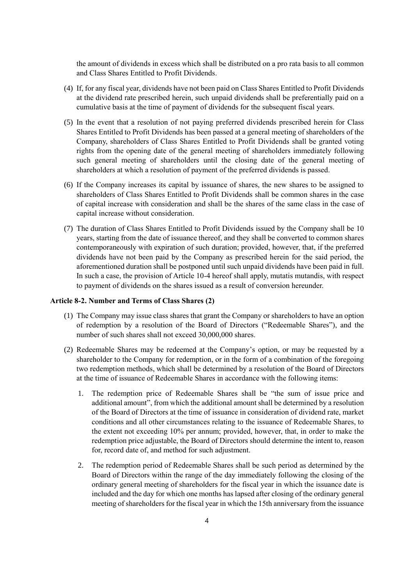the amount of dividends in excess which shall be distributed on a pro rata basis to all common and Class Shares Entitled to Profit Dividends.

- (4) If, for any fiscal year, dividends have not been paid on Class Shares Entitled to Profit Dividends at the dividend rate prescribed herein, such unpaid dividends shall be preferentially paid on a cumulative basis at the time of payment of dividends for the subsequent fiscal years.
- (5) In the event that a resolution of not paying preferred dividends prescribed herein for Class Shares Entitled to Profit Dividends has been passed at a general meeting of shareholders of the Company, shareholders of Class Shares Entitled to Profit Dividends shall be granted voting rights from the opening date of the general meeting of shareholders immediately following such general meeting of shareholders until the closing date of the general meeting of shareholders at which a resolution of payment of the preferred dividends is passed.
- (6) If the Company increases its capital by issuance of shares, the new shares to be assigned to shareholders of Class Shares Entitled to Profit Dividends shall be common shares in the case of capital increase with consideration and shall be the shares of the same class in the case of capital increase without consideration.
- (7) The duration of Class Shares Entitled to Profit Dividends issued by the Company shall be 10 years, starting from the date of issuance thereof, and they shall be converted to common shares contemporaneously with expiration of such duration; provided, however, that, if the preferred dividends have not been paid by the Company as prescribed herein for the said period, the aforementioned duration shall be postponed until such unpaid dividends have been paid in full. In such a case, the provision of Article 10-4 hereof shall apply, mutatis mutandis, with respect to payment of dividends on the shares issued as a result of conversion hereunder.

#### **Article 8-2. Number and Terms of Class Shares (2)**

- (1) The Company may issue class shares that grant the Company or shareholders to have an option of redemption by a resolution of the Board of Directors ("Redeemable Shares"), and the number of such shares shall not exceed 30,000,000 shares.
- (2) Redeemable Shares may be redeemed at the Company's option, or may be requested by a shareholder to the Company for redemption, or in the form of a combination of the foregoing two redemption methods, which shall be determined by a resolution of the Board of Directors at the time of issuance of Redeemable Shares in accordance with the following items:
	- 1. The redemption price of Redeemable Shares shall be "the sum of issue price and additional amount", from which the additional amount shall be determined by a resolution of the Board of Directors at the time of issuance in consideration of dividend rate, market conditions and all other circumstances relating to the issuance of Redeemable Shares, to the extent not exceeding 10% per annum; provided, however, that, in order to make the redemption price adjustable, the Board of Directors should determine the intent to, reason for, record date of, and method for such adjustment.
	- 2. The redemption period of Redeemable Shares shall be such period as determined by the Board of Directors within the range of the day immediately following the closing of the ordinary general meeting of shareholders for the fiscal year in which the issuance date is included and the day for which one months has lapsed after closing of the ordinary general meeting of shareholders for the fiscal year in which the 15th anniversary from the issuance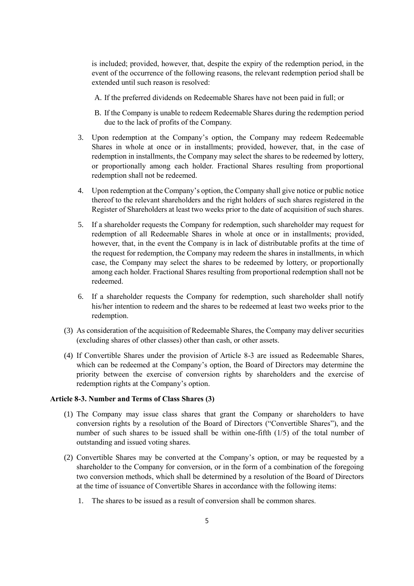is included; provided, however, that, despite the expiry of the redemption period, in the event of the occurrence of the following reasons, the relevant redemption period shall be extended until such reason is resolved:

- A. If the preferred dividends on Redeemable Shares have not been paid in full; or
- B. If the Company is unable to redeem Redeemable Shares during the redemption period due to the lack of profits of the Company.
- 3. Upon redemption at the Company's option, the Company may redeem Redeemable Shares in whole at once or in installments; provided, however, that, in the case of redemption in installments, the Company may select the shares to be redeemed by lottery, or proportionally among each holder. Fractional Shares resulting from proportional redemption shall not be redeemed.
- 4. Upon redemption at the Company's option, the Company shall give notice or public notice thereof to the relevant shareholders and the right holders of such shares registered in the Register of Shareholders at least two weeks prior to the date of acquisition of such shares.
- 5. If a shareholder requests the Company for redemption, such shareholder may request for redemption of all Redeemable Shares in whole at once or in installments; provided, however, that, in the event the Company is in lack of distributable profits at the time of the request for redemption, the Company may redeem the shares in installments, in which case, the Company may select the shares to be redeemed by lottery, or proportionally among each holder. Fractional Shares resulting from proportional redemption shall not be redeemed.
- 6. If a shareholder requests the Company for redemption, such shareholder shall notify his/her intention to redeem and the shares to be redeemed at least two weeks prior to the redemption.
- (3) As consideration of the acquisition of Redeemable Shares, the Company may deliver securities (excluding shares of other classes) other than cash, or other assets.
- (4) If Convertible Shares under the provision of Article 8-3 are issued as Redeemable Shares, which can be redeemed at the Company's option, the Board of Directors may determine the priority between the exercise of conversion rights by shareholders and the exercise of redemption rights at the Company's option.

#### **Article 8-3. Number and Terms of Class Shares (3)**

- (1) The Company may issue class shares that grant the Company or shareholders to have conversion rights by a resolution of the Board of Directors ("Convertible Shares"), and the number of such shares to be issued shall be within one-fifth (1/5) of the total number of outstanding and issued voting shares.
- (2) Convertible Shares may be converted at the Company's option, or may be requested by a shareholder to the Company for conversion, or in the form of a combination of the foregoing two conversion methods, which shall be determined by a resolution of the Board of Directors at the time of issuance of Convertible Shares in accordance with the following items:
	- 1. The shares to be issued as a result of conversion shall be common shares.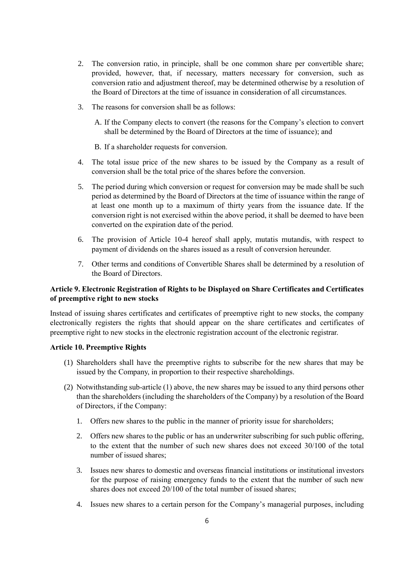- 2. The conversion ratio, in principle, shall be one common share per convertible share; provided, however, that, if necessary, matters necessary for conversion, such as conversion ratio and adjustment thereof, may be determined otherwise by a resolution of the Board of Directors at the time of issuance in consideration of all circumstances.
- 3. The reasons for conversion shall be as follows:
	- A. If the Company elects to convert (the reasons for the Company's election to convert shall be determined by the Board of Directors at the time of issuance); and
	- B. If a shareholder requests for conversion.
- 4. The total issue price of the new shares to be issued by the Company as a result of conversion shall be the total price of the shares before the conversion.
- 5. The period during which conversion or request for conversion may be made shall be such period as determined by the Board of Directors at the time of issuance within the range of at least one month up to a maximum of thirty years from the issuance date. If the conversion right is not exercised within the above period, it shall be deemed to have been converted on the expiration date of the period.
- 6. The provision of Article 10-4 hereof shall apply, mutatis mutandis, with respect to payment of dividends on the shares issued as a result of conversion hereunder.
- 7. Other terms and conditions of Convertible Shares shall be determined by a resolution of the Board of Directors.

#### **Article 9. Electronic Registration of Rights to be Displayed on Share Certificates and Certificates of preemptive right to new stocks**

Instead of issuing shares certificates and certificates of preemptive right to new stocks, the company electronically registers the rights that should appear on the share certificates and certificates of preemptive right to new stocks in the electronic registration account of the electronic registrar.

#### **Article 10. Preemptive Rights**

- (1) Shareholders shall have the preemptive rights to subscribe for the new shares that may be issued by the Company, in proportion to their respective shareholdings.
- (2) Notwithstanding sub-article (1) above, the new shares may be issued to any third persons other than the shareholders (including the shareholders of the Company) by a resolution of the Board of Directors, if the Company:
	- 1. Offers new shares to the public in the manner of priority issue for shareholders;
	- 2. Offers new shares to the public or has an underwriter subscribing for such public offering, to the extent that the number of such new shares does not exceed 30/100 of the total number of issued shares;
	- 3. Issues new shares to domestic and overseas financial institutions or institutional investors for the purpose of raising emergency funds to the extent that the number of such new shares does not exceed 20/100 of the total number of issued shares;
	- 4. Issues new shares to a certain person for the Company's managerial purposes, including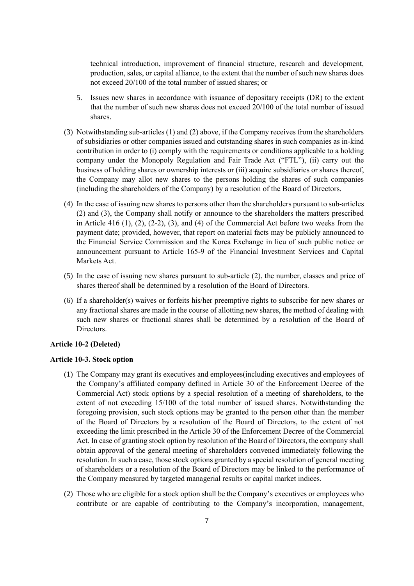technical introduction, improvement of financial structure, research and development, production, sales, or capital alliance, to the extent that the number of such new shares does not exceed 20/100 of the total number of issued shares; or

- 5. Issues new shares in accordance with issuance of depositary receipts (DR) to the extent that the number of such new shares does not exceed 20/100 of the total number of issued shares.
- (3) Notwithstanding sub-articles (1) and (2) above, if the Company receives from the shareholders of subsidiaries or other companies issued and outstanding shares in such companies as in-kind contribution in order to (i) comply with the requirements or conditions applicable to a holding company under the Monopoly Regulation and Fair Trade Act ("FTL"), (ii) carry out the business of holding shares or ownership interests or (iii) acquire subsidiaries or shares thereof, the Company may allot new shares to the persons holding the shares of such companies (including the shareholders of the Company) by a resolution of the Board of Directors.
- (4) In the case of issuing new shares to persons other than the shareholders pursuant to sub-articles (2) and (3), the Company shall notify or announce to the shareholders the matters prescribed in Article 416 (1), (2), (2-2), (3), and (4) of the Commercial Act before two weeks from the payment date; provided, however, that report on material facts may be publicly announced to the Financial Service Commission and the Korea Exchange in lieu of such public notice or announcement pursuant to Article 165-9 of the Financial Investment Services and Capital Markets Act.
- (5) In the case of issuing new shares pursuant to sub-article (2), the number, classes and price of shares thereof shall be determined by a resolution of the Board of Directors.
- (6) If a shareholder(s) waives or forfeits his/her preemptive rights to subscribe for new shares or any fractional shares are made in the course of allotting new shares, the method of dealing with such new shares or fractional shares shall be determined by a resolution of the Board of Directors.

#### **Article 10-2 (Deleted)**

#### **Article 10-3. Stock option**

- (1) The Company may grant its executives and employees(including executives and employees of the Company's affiliated company defined in Article 30 of the Enforcement Decree of the Commercial Act) stock options by a special resolution of a meeting of shareholders, to the extent of not exceeding 15/100 of the total number of issued shares. Notwithstanding the foregoing provision, such stock options may be granted to the person other than the member of the Board of Directors by a resolution of the Board of Directors, to the extent of not exceeding the limit prescribed in the Article 30 of the Enforcement Decree of the Commercial Act. In case of granting stock option by resolution of the Board of Directors, the company shall obtain approval of the general meeting of shareholders convened immediately following the resolution. In such a case, those stock options granted by a special resolution of general meeting of shareholders or a resolution of the Board of Directors may be linked to the performance of the Company measured by targeted managerial results or capital market indices.
- (2) Those who are eligible for a stock option shall be the Company's executives or employees who contribute or are capable of contributing to the Company's incorporation, management,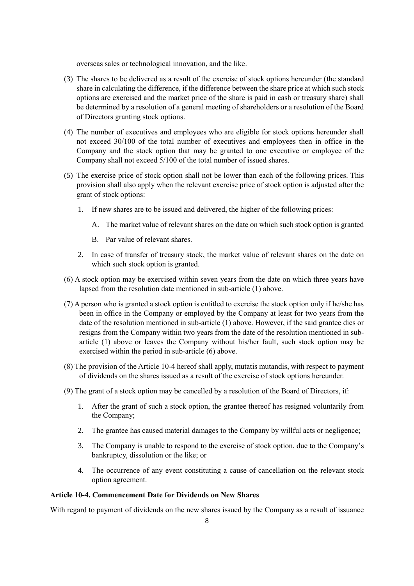overseas sales or technological innovation, and the like.

- (3) The shares to be delivered as a result of the exercise of stock options hereunder (the standard share in calculating the difference, if the difference between the share price at which such stock options are exercised and the market price of the share is paid in cash or treasury share) shall be determined by a resolution of a general meeting of shareholders or a resolution of the Board of Directors granting stock options.
- (4) The number of executives and employees who are eligible for stock options hereunder shall not exceed 30/100 of the total number of executives and employees then in office in the Company and the stock option that may be granted to one executive or employee of the Company shall not exceed 5/100 of the total number of issued shares.
- (5) The exercise price of stock option shall not be lower than each of the following prices. This provision shall also apply when the relevant exercise price of stock option is adjusted after the grant of stock options:
	- 1. If new shares are to be issued and delivered, the higher of the following prices:
		- A. The market value of relevant shares on the date on which such stock option is granted
		- B. Par value of relevant shares.
	- 2. In case of transfer of treasury stock, the market value of relevant shares on the date on which such stock option is granted.
- (6) A stock option may be exercised within seven years from the date on which three years have lapsed from the resolution date mentioned in sub-article (1) above.
- (7) A person who is granted a stock option is entitled to exercise the stock option only if he/she has been in office in the Company or employed by the Company at least for two years from the date of the resolution mentioned in sub-article (1) above. However, if the said grantee dies or resigns from the Company within two years from the date of the resolution mentioned in subarticle (1) above or leaves the Company without his/her fault, such stock option may be exercised within the period in sub-article (6) above.
- (8) The provision of the Article 10-4 hereof shall apply, mutatis mutandis, with respect to payment of dividends on the shares issued as a result of the exercise of stock options hereunder.
- (9) The grant of a stock option may be cancelled by a resolution of the Board of Directors, if:
	- 1. After the grant of such a stock option, the grantee thereof has resigned voluntarily from the Company;
	- 2. The grantee has caused material damages to the Company by willful acts or negligence;
	- 3. The Company is unable to respond to the exercise of stock option, due to the Company's bankruptcy, dissolution or the like; or
	- 4. The occurrence of any event constituting a cause of cancellation on the relevant stock option agreement.

#### **Article 10-4. Commencement Date for Dividends on New Shares**

With regard to payment of dividends on the new shares issued by the Company as a result of issuance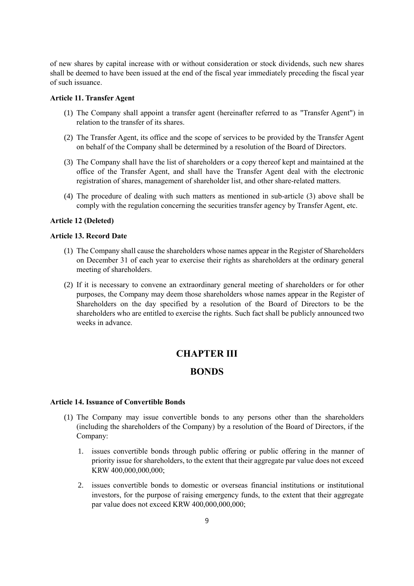of new shares by capital increase with or without consideration or stock dividends, such new shares shall be deemed to have been issued at the end of the fiscal year immediately preceding the fiscal year of such issuance.

#### **Article 11. Transfer Agent**

- (1) The Company shall appoint a transfer agent (hereinafter referred to as "Transfer Agent") in relation to the transfer of its shares.
- (2) The Transfer Agent, its office and the scope of services to be provided by the Transfer Agent on behalf of the Company shall be determined by a resolution of the Board of Directors.
- (3) The Company shall have the list of shareholders or a copy thereof kept and maintained at the office of the Transfer Agent, and shall have the Transfer Agent deal with the electronic registration of shares, management of shareholder list, and other share-related matters.
- (4) The procedure of dealing with such matters as mentioned in sub-article (3) above shall be comply with the regulation concerning the securities transfer agency by Transfer Agent, etc.

#### **Article 12 (Deleted)**

#### **Article 13. Record Date**

- (1) The Company shall cause the shareholders whose names appear in the Register of Shareholders on December 31 of each year to exercise their rights as shareholders at the ordinary general meeting of shareholders.
- (2) If it is necessary to convene an extraordinary general meeting of shareholders or for other purposes, the Company may deem those shareholders whose names appear in the Register of Shareholders on the day specified by a resolution of the Board of Directors to be the shareholders who are entitled to exercise the rights. Such fact shall be publicly announced two weeks in advance.

## **CHAPTER III**

## **BONDS**

#### **Article 14. Issuance of Convertible Bonds**

- (1) The Company may issue convertible bonds to any persons other than the shareholders (including the shareholders of the Company) by a resolution of the Board of Directors, if the Company:
	- 1. issues convertible bonds through public offering or public offering in the manner of priority issue for shareholders, to the extent that their aggregate par value does not exceed KRW 400,000,000,000;
	- 2. issues convertible bonds to domestic or overseas financial institutions or institutional investors, for the purpose of raising emergency funds, to the extent that their aggregate par value does not exceed KRW 400,000,000,000;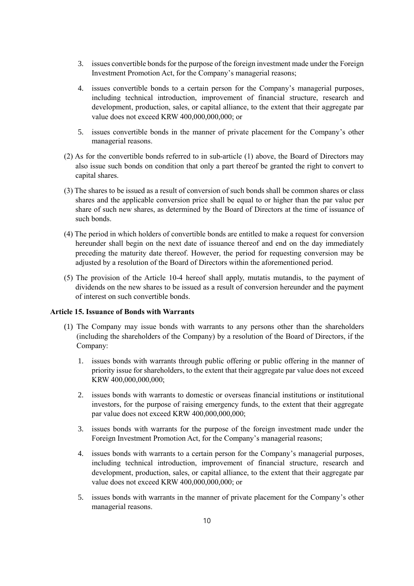- 3. issues convertible bonds for the purpose of the foreign investment made under the Foreign Investment Promotion Act, for the Company's managerial reasons;
- 4. issues convertible bonds to a certain person for the Company's managerial purposes, including technical introduction, improvement of financial structure, research and development, production, sales, or capital alliance, to the extent that their aggregate par value does not exceed KRW 400,000,000,000; or
- 5. issues convertible bonds in the manner of private placement for the Company's other managerial reasons.
- (2) As for the convertible bonds referred to in sub-article (1) above, the Board of Directors may also issue such bonds on condition that only a part thereof be granted the right to convert to capital shares.
- (3) The shares to be issued as a result of conversion of such bonds shall be common shares or class shares and the applicable conversion price shall be equal to or higher than the par value per share of such new shares, as determined by the Board of Directors at the time of issuance of such bonds.
- (4) The period in which holders of convertible bonds are entitled to make a request for conversion hereunder shall begin on the next date of issuance thereof and end on the day immediately preceding the maturity date thereof. However, the period for requesting conversion may be adjusted by a resolution of the Board of Directors within the aforementioned period.
- (5) The provision of the Article 10-4 hereof shall apply, mutatis mutandis, to the payment of dividends on the new shares to be issued as a result of conversion hereunder and the payment of interest on such convertible bonds.

#### **Article 15. Issuance of Bonds with Warrants**

- (1) The Company may issue bonds with warrants to any persons other than the shareholders (including the shareholders of the Company) by a resolution of the Board of Directors, if the Company:
	- 1. issues bonds with warrants through public offering or public offering in the manner of priority issue for shareholders, to the extent that their aggregate par value does not exceed KRW 400,000,000,000;
	- 2. issues bonds with warrants to domestic or overseas financial institutions or institutional investors, for the purpose of raising emergency funds, to the extent that their aggregate par value does not exceed KRW 400,000,000,000;
	- 3. issues bonds with warrants for the purpose of the foreign investment made under the Foreign Investment Promotion Act, for the Company's managerial reasons;
	- 4. issues bonds with warrants to a certain person for the Company's managerial purposes, including technical introduction, improvement of financial structure, research and development, production, sales, or capital alliance, to the extent that their aggregate par value does not exceed KRW 400,000,000,000; or
	- 5. issues bonds with warrants in the manner of private placement for the Company's other managerial reasons.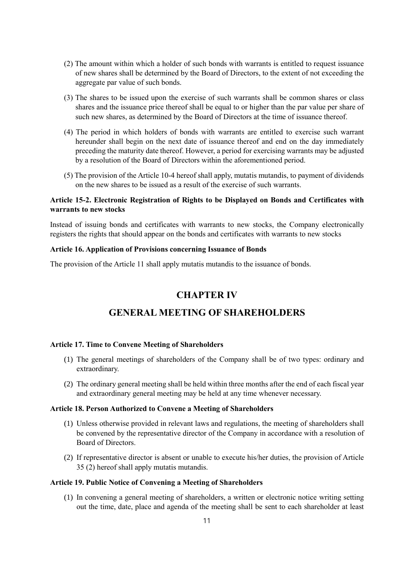- (2) The amount within which a holder of such bonds with warrants is entitled to request issuance of new shares shall be determined by the Board of Directors, to the extent of not exceeding the aggregate par value of such bonds.
- (3) The shares to be issued upon the exercise of such warrants shall be common shares or class shares and the issuance price thereof shall be equal to or higher than the par value per share of such new shares, as determined by the Board of Directors at the time of issuance thereof.
- (4) The period in which holders of bonds with warrants are entitled to exercise such warrant hereunder shall begin on the next date of issuance thereof and end on the day immediately preceding the maturity date thereof. However, a period for exercising warrants may be adjusted by a resolution of the Board of Directors within the aforementioned period.
- (5) The provision of the Article 10-4 hereof shall apply, mutatis mutandis, to payment of dividends on the new shares to be issued as a result of the exercise of such warrants.

#### **Article 15-2. Electronic Registration of Rights to be Displayed on Bonds and Certificates with warrants to new stocks**

Instead of issuing bonds and certificates with warrants to new stocks, the Company electronically registers the rights that should appear on the bonds and certificates with warrants to new stocks

#### **Article 16. Application of Provisions concerning Issuance of Bonds**

The provision of the Article 11 shall apply mutatis mutandis to the issuance of bonds.

## **CHAPTER IV**

## **GENERAL MEETING OF SHAREHOLDERS**

#### **Article 17. Time to Convene Meeting of Shareholders**

- (1) The general meetings of shareholders of the Company shall be of two types: ordinary and extraordinary.
- (2) The ordinary general meeting shall be held within three months after the end of each fiscal year and extraordinary general meeting may be held at any time whenever necessary.

#### **Article 18. Person Authorized to Convene a Meeting of Shareholders**

- (1) Unless otherwise provided in relevant laws and regulations, the meeting of shareholders shall be convened by the representative director of the Company in accordance with a resolution of Board of Directors.
- (2) If representative director is absent or unable to execute his/her duties, the provision of Article 35 (2) hereof shall apply mutatis mutandis.

#### **Article 19. Public Notice of Convening a Meeting of Shareholders**

(1) In convening a general meeting of shareholders, a written or electronic notice writing setting out the time, date, place and agenda of the meeting shall be sent to each shareholder at least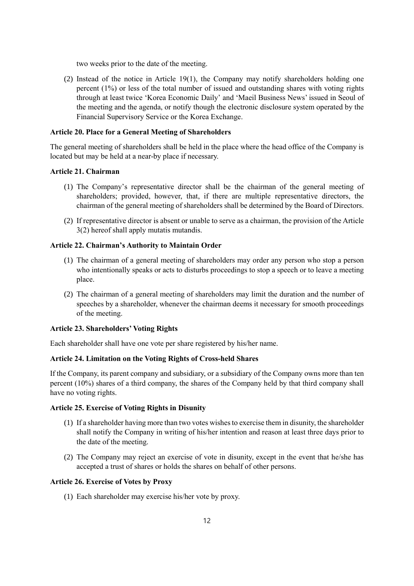two weeks prior to the date of the meeting.

(2) Instead of the notice in Article 19(1), the Company may notify shareholders holding one percent (1%) or less of the total number of issued and outstanding shares with voting rights through at least twice 'Korea Economic Daily' and 'Maeil Business News' issued in Seoul of the meeting and the agenda, or notify though the electronic disclosure system operated by the Financial Supervisory Service or the Korea Exchange.

#### **Article 20. Place for a General Meeting of Shareholders**

The general meeting of shareholders shall be held in the place where the head office of the Company is located but may be held at a near-by place if necessary.

#### **Article 21. Chairman**

- (1) The Company's representative director shall be the chairman of the general meeting of shareholders; provided, however, that, if there are multiple representative directors, the chairman of the general meeting of shareholders shall be determined by the Board of Directors.
- (2) If representative director is absent or unable to serve as a chairman, the provision of the Article 3(2) hereof shall apply mutatis mutandis.

#### **Article 22. Chairman's Authority to Maintain Order**

- (1) The chairman of a general meeting of shareholders may order any person who stop a person who intentionally speaks or acts to disturbs proceedings to stop a speech or to leave a meeting place.
- (2) The chairman of a general meeting of shareholders may limit the duration and the number of speeches by a shareholder, whenever the chairman deems it necessary for smooth proceedings of the meeting.

#### **Article 23. Shareholders' Voting Rights**

Each shareholder shall have one vote per share registered by his/her name.

#### **Article 24. Limitation on the Voting Rights of Cross-held Shares**

If the Company, its parent company and subsidiary, or a subsidiary of the Company owns more than ten percent (10%) shares of a third company, the shares of the Company held by that third company shall have no voting rights.

#### **Article 25. Exercise of Voting Rights in Disunity**

- (1) If a shareholder having more than two votes wishes to exercise them in disunity, the shareholder shall notify the Company in writing of his/her intention and reason at least three days prior to the date of the meeting.
- (2) The Company may reject an exercise of vote in disunity, except in the event that he/she has accepted a trust of shares or holds the shares on behalf of other persons.

#### **Article 26. Exercise of Votes by Proxy**

(1) Each shareholder may exercise his/her vote by proxy.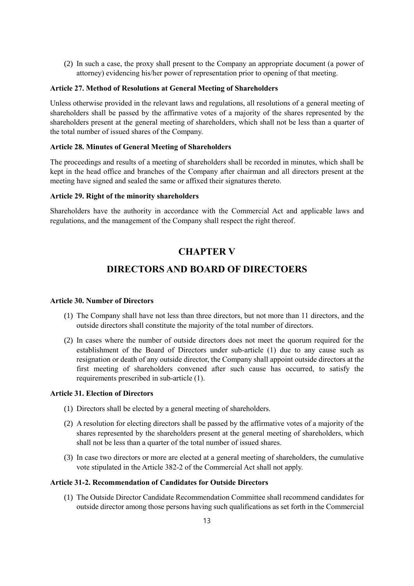(2) In such a case, the proxy shall present to the Company an appropriate document (a power of attorney) evidencing his/her power of representation prior to opening of that meeting.

#### **Article 27. Method of Resolutions at General Meeting of Shareholders**

Unless otherwise provided in the relevant laws and regulations, all resolutions of a general meeting of shareholders shall be passed by the affirmative votes of a majority of the shares represented by the shareholders present at the general meeting of shareholders, which shall not be less than a quarter of the total number of issued shares of the Company.

#### **Article 28. Minutes of General Meeting of Shareholders**

The proceedings and results of a meeting of shareholders shall be recorded in minutes, which shall be kept in the head office and branches of the Company after chairman and all directors present at the meeting have signed and sealed the same or affixed their signatures thereto.

#### **Article 29. Right of the minority shareholders**

Shareholders have the authority in accordance with the Commercial Act and applicable laws and regulations, and the management of the Company shall respect the right thereof.

## **CHAPTER V**

## **DIRECTORS AND BOARD OF DIRECTOERS**

#### **Article 30. Number of Directors**

- (1) The Company shall have not less than three directors, but not more than 11 directors, and the outside directors shall constitute the majority of the total number of directors.
- (2) In cases where the number of outside directors does not meet the quorum required for the establishment of the Board of Directors under sub-article (1) due to any cause such as resignation or death of any outside director, the Company shall appoint outside directors at the first meeting of shareholders convened after such cause has occurred, to satisfy the requirements prescribed in sub-article (1).

#### **Article 31. Election of Directors**

- (1) Directors shall be elected by a general meeting of shareholders.
- (2) A resolution for electing directors shall be passed by the affirmative votes of a majority of the shares represented by the shareholders present at the general meeting of shareholders, which shall not be less than a quarter of the total number of issued shares.
- (3) In case two directors or more are elected at a general meeting of shareholders, the cumulative vote stipulated in the Article 382-2 of the Commercial Act shall not apply.

#### **Article 31-2. Recommendation of Candidates for Outside Directors**

(1) The Outside Director Candidate Recommendation Committee shall recommend candidates for outside director among those persons having such qualifications as set forth in the Commercial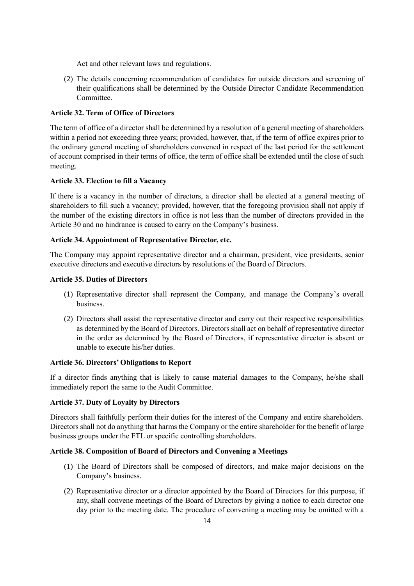Act and other relevant laws and regulations.

(2) The details concerning recommendation of candidates for outside directors and screening of their qualifications shall be determined by the Outside Director Candidate Recommendation Committee.

#### **Article 32. Term of Office of Directors**

The term of office of a director shall be determined by a resolution of a general meeting of shareholders within a period not exceeding three years; provided, however, that, if the term of office expires prior to the ordinary general meeting of shareholders convened in respect of the last period for the settlement of account comprised in their terms of office, the term of office shall be extended until the close of such meeting.

#### **Article 33. Election to fill a Vacancy**

If there is a vacancy in the number of directors, a director shall be elected at a general meeting of shareholders to fill such a vacancy; provided, however, that the foregoing provision shall not apply if the number of the existing directors in office is not less than the number of directors provided in the Article 30 and no hindrance is caused to carry on the Company's business.

#### **Article 34. Appointment of Representative Director, etc.**

The Company may appoint representative director and a chairman, president, vice presidents, senior executive directors and executive directors by resolutions of the Board of Directors.

#### **Article 35. Duties of Directors**

- (1) Representative director shall represent the Company, and manage the Company's overall business.
- (2) Directors shall assist the representative director and carry out their respective responsibilities as determined by the Board of Directors. Directors shall act on behalf of representative director in the order as determined by the Board of Directors, if representative director is absent or unable to execute his/her duties.

#### **Article 36. Directors' Obligations to Report**

If a director finds anything that is likely to cause material damages to the Company, he/she shall immediately report the same to the Audit Committee.

#### **Article 37. Duty of Loyalty by Directors**

Directors shall faithfully perform their duties for the interest of the Company and entire shareholders. Directors shall not do anything that harms the Company or the entire shareholder for the benefit of large business groups under the FTL or specific controlling shareholders.

#### **Article 38. Composition of Board of Directors and Convening a Meetings**

- (1) The Board of Directors shall be composed of directors, and make major decisions on the Company's business.
- (2) Representative director or a director appointed by the Board of Directors for this purpose, if any, shall convene meetings of the Board of Directors by giving a notice to each director one day prior to the meeting date. The procedure of convening a meeting may be omitted with a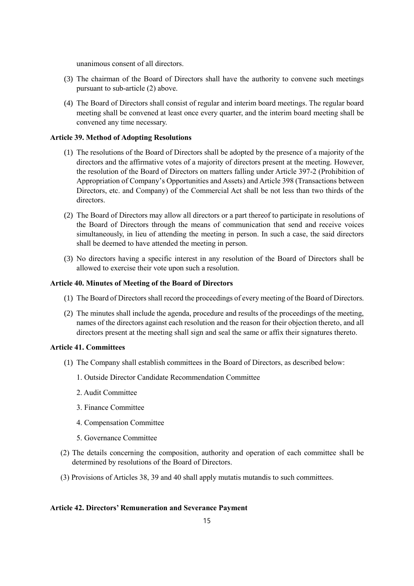unanimous consent of all directors.

- (3) The chairman of the Board of Directors shall have the authority to convene such meetings pursuant to sub-article (2) above.
- (4) The Board of Directors shall consist of regular and interim board meetings. The regular board meeting shall be convened at least once every quarter, and the interim board meeting shall be convened any time necessary.

#### **Article 39. Method of Adopting Resolutions**

- (1) The resolutions of the Board of Directors shall be adopted by the presence of a majority of the directors and the affirmative votes of a majority of directors present at the meeting. However, the resolution of the Board of Directors on matters falling under Article 397-2 (Prohibition of Appropriation of Company's Opportunities and Assets) and Article 398 (Transactions between Directors, etc. and Company) of the Commercial Act shall be not less than two thirds of the directors.
- (2) The Board of Directors may allow all directors or a part thereof to participate in resolutions of the Board of Directors through the means of communication that send and receive voices simultaneously, in lieu of attending the meeting in person. In such a case, the said directors shall be deemed to have attended the meeting in person.
- (3) No directors having a specific interest in any resolution of the Board of Directors shall be allowed to exercise their vote upon such a resolution.

#### **Article 40. Minutes of Meeting of the Board of Directors**

- (1) The Board of Directors shall record the proceedings of every meeting of the Board of Directors.
- (2) The minutes shall include the agenda, procedure and results of the proceedings of the meeting, names of the directors against each resolution and the reason for their objection thereto, and all directors present at the meeting shall sign and seal the same or affix their signatures thereto.

#### **Article 41. Committees**

- (1) The Company shall establish committees in the Board of Directors, as described below:
	- 1. Outside Director Candidate Recommendation Committee
	- 2. Audit Committee
	- 3. Finance Committee
	- 4. Compensation Committee
	- 5. Governance Committee
- (2) The details concerning the composition, authority and operation of each committee shall be determined by resolutions of the Board of Directors.
- (3) Provisions of Articles 38, 39 and 40 shall apply mutatis mutandis to such committees.

#### **Article 42. Directors' Remuneration and Severance Payment**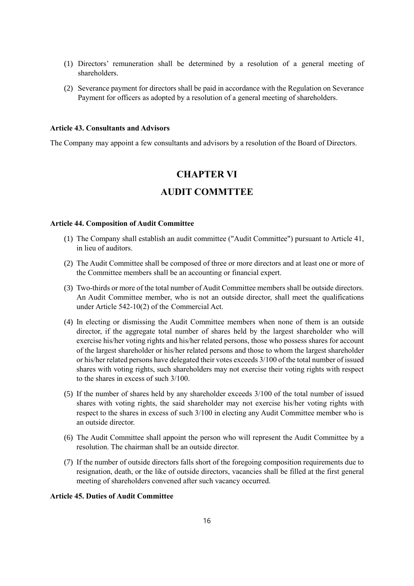- (1) Directors' remuneration shall be determined by a resolution of a general meeting of shareholders.
- (2) Severance payment for directors shall be paid in accordance with the Regulation on Severance Payment for officers as adopted by a resolution of a general meeting of shareholders.

#### **Article 43. Consultants and Advisors**

The Company may appoint a few consultants and advisors by a resolution of the Board of Directors.

# **CHAPTER VI AUDIT COMMTTEE**

#### **Article 44. Composition of Audit Committee**

- (1) The Company shall establish an audit committee ("Audit Committee") pursuant to Article 41, in lieu of auditors.
- (2) The Audit Committee shall be composed of three or more directors and at least one or more of the Committee members shall be an accounting or financial expert.
- (3) Two-thirds or more of the total number of Audit Committee members shall be outside directors. An Audit Committee member, who is not an outside director, shall meet the qualifications under Article 542-10(2) of the Commercial Act.
- (4) In electing or dismissing the Audit Committee members when none of them is an outside director, if the aggregate total number of shares held by the largest shareholder who will exercise his/her voting rights and his/her related persons, those who possess shares for account of the largest shareholder or his/her related persons and those to whom the largest shareholder or his/her related persons have delegated their votes exceeds 3/100 of the total number of issued shares with voting rights, such shareholders may not exercise their voting rights with respect to the shares in excess of such 3/100.
- (5) If the number of shares held by any shareholder exceeds 3/100 of the total number of issued shares with voting rights, the said shareholder may not exercise his/her voting rights with respect to the shares in excess of such 3/100 in electing any Audit Committee member who is an outside director.
- (6) The Audit Committee shall appoint the person who will represent the Audit Committee by a resolution. The chairman shall be an outside director.
- (7) If the number of outside directors falls short of the foregoing composition requirements due to resignation, death, or the like of outside directors, vacancies shall be filled at the first general meeting of shareholders convened after such vacancy occurred.

#### **Article 45. Duties of Audit Committee**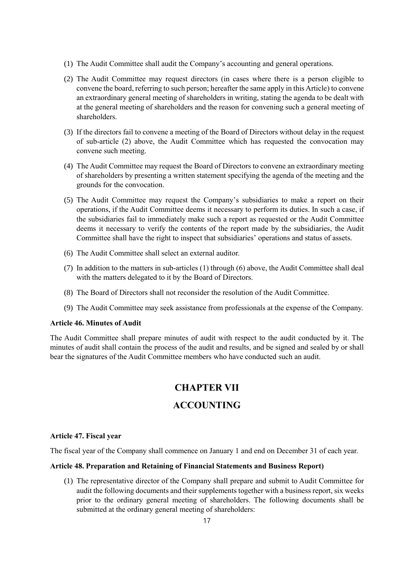- (1) The Audit Committee shall audit the Company's accounting and general operations.
- (2) The Audit Committee may request directors (in cases where there is a person eligible to convene the board, referring to such person; hereafter the same apply in this Article) to convene an extraordinary general meeting of shareholders in writing, stating the agenda to be dealt with at the general meeting of shareholders and the reason for convening such a general meeting of shareholders.
- (3) If the directors fail to convene a meeting of the Board of Directors without delay in the request of sub-article (2) above, the Audit Committee which has requested the convocation may convene such meeting.
- (4) The Audit Committee may request the Board of Directors to convene an extraordinary meeting of shareholders by presenting a written statement specifying the agenda of the meeting and the grounds for the convocation.
- (5) The Audit Committee may request the Company's subsidiaries to make a report on their operations, if the Audit Committee deems it necessary to perform its duties. In such a case, if the subsidiaries fail to immediately make such a report as requested or the Audit Committee deems it necessary to verify the contents of the report made by the subsidiaries, the Audit Committee shall have the right to inspect that subsidiaries' operations and status of assets.
- (6) The Audit Committee shall select an external auditor.
- (7) In addition to the matters in sub-articles (1) through (6) above, the Audit Committee shall deal with the matters delegated to it by the Board of Directors.
- (8) The Board of Directors shall not reconsider the resolution of the Audit Committee.
- (9) The Audit Committee may seek assistance from professionals at the expense of the Company.

#### **Article 46. Minutes of Audit**

The Audit Committee shall prepare minutes of audit with respect to the audit conducted by it. The minutes of audit shall contain the process of the audit and results, and be signed and sealed by or shall bear the signatures of the Audit Committee members who have conducted such an audit.

# **CHAPTER VII ACCOUNTING**

#### **Article 47. Fiscal year**

The fiscal year of the Company shall commence on January 1 and end on December 31 of each year.

#### **Article 48. Preparation and Retaining of Financial Statements and Business Report)**

(1) The representative director of the Company shall prepare and submit to Audit Committee for audit the following documents and their supplements together with a business report, six weeks prior to the ordinary general meeting of shareholders. The following documents shall be submitted at the ordinary general meeting of shareholders: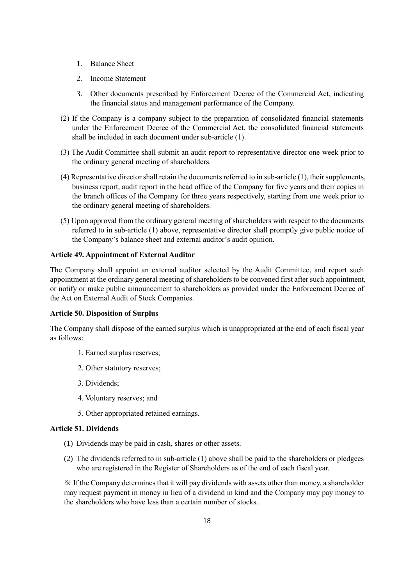- 1. Balance Sheet
- 2. Income Statement
- 3. Other documents prescribed by Enforcement Decree of the Commercial Act, indicating the financial status and management performance of the Company.
- (2) If the Company is a company subject to the preparation of consolidated financial statements under the Enforcement Decree of the Commercial Act, the consolidated financial statements shall be included in each document under sub-article (1).
- (3) The Audit Committee shall submit an audit report to representative director one week prior to the ordinary general meeting of shareholders.
- (4) Representative director shall retain the documents referred to in sub-article (1), their supplements, business report, audit report in the head office of the Company for five years and their copies in the branch offices of the Company for three years respectively, starting from one week prior to the ordinary general meeting of shareholders.
- (5) Upon approval from the ordinary general meeting of shareholders with respect to the documents referred to in sub-article (1) above, representative director shall promptly give public notice of the Company's balance sheet and external auditor's audit opinion.

#### **Article 49. Appointment of External Auditor**

The Company shall appoint an external auditor selected by the Audit Committee, and report such appointment at the ordinary general meeting of shareholders to be convened first after such appointment, or notify or make public announcement to shareholders as provided under the Enforcement Decree of the Act on External Audit of Stock Companies.

#### **Article 50. Disposition of Surplus**

The Company shall dispose of the earned surplus which is unappropriated at the end of each fiscal year as follows:

- 1. Earned surplus reserves;
- 2. Other statutory reserves;
- 3. Dividends;
- 4. Voluntary reserves; and
- 5. Other appropriated retained earnings.

#### **Article 51. Dividends**

- (1) Dividends may be paid in cash, shares or other assets.
- (2) The dividends referred to in sub-article (1) above shall be paid to the shareholders or pledgees who are registered in the Register of Shareholders as of the end of each fiscal year.

※ If the Company determines that it will pay dividends with assets other than money, a shareholder may request payment in money in lieu of a dividend in kind and the Company may pay money to the shareholders who have less than a certain number of stocks.